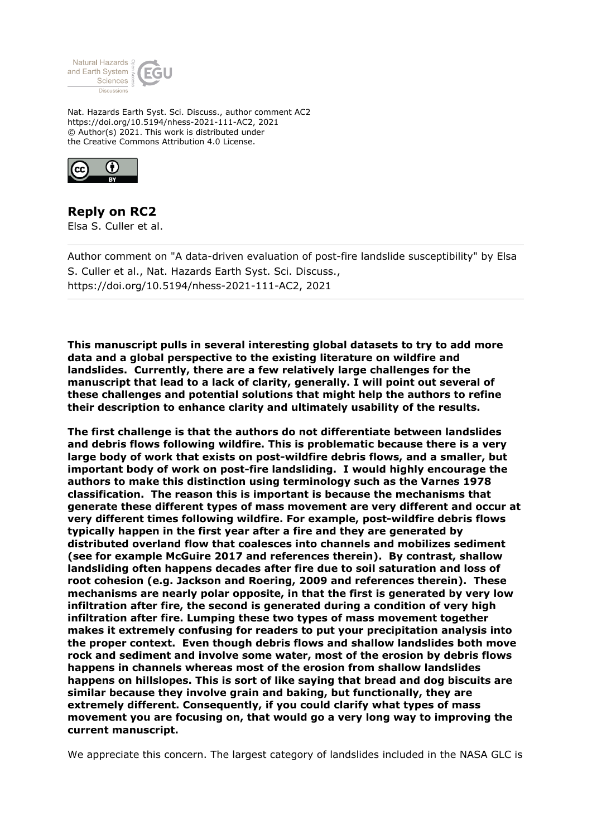

Nat. Hazards Earth Syst. Sci. Discuss., author comment AC2 https://doi.org/10.5194/nhess-2021-111-AC2, 2021 © Author(s) 2021. This work is distributed under the Creative Commons Attribution 4.0 License.



**Reply on RC2** Elsa S. Culler et al.

Author comment on "A data-driven evaluation of post-fire landslide susceptibility" by Elsa S. Culler et al., Nat. Hazards Earth Syst. Sci. Discuss., https://doi.org/10.5194/nhess-2021-111-AC2, 2021

**This manuscript pulls in several interesting global datasets to try to add more data and a global perspective to the existing literature on wildfire and landslides. Currently, there are a few relatively large challenges for the manuscript that lead to a lack of clarity, generally. I will point out several of these challenges and potential solutions that might help the authors to refine their description to enhance clarity and ultimately usability of the results.**

**The first challenge is that the authors do not differentiate between landslides and debris flows following wildfire. This is problematic because there is a very large body of work that exists on post-wildfire debris flows, and a smaller, but important body of work on post-fire landsliding. I would highly encourage the authors to make this distinction using terminology such as the Varnes 1978 classification. The reason this is important is because the mechanisms that generate these different types of mass movement are very different and occur at very different times following wildfire. For example, post-wildfire debris flows typically happen in the first year after a fire and they are generated by distributed overland flow that coalesces into channels and mobilizes sediment (see for example McGuire 2017 and references therein). By contrast, shallow landsliding often happens decades after fire due to soil saturation and loss of root cohesion (e.g. Jackson and Roering, 2009 and references therein). These mechanisms are nearly polar opposite, in that the first is generated by very low infiltration after fire, the second is generated during a condition of very high infiltration after fire. Lumping these two types of mass movement together makes it extremely confusing for readers to put your precipitation analysis into the proper context. Even though debris flows and shallow landslides both move rock and sediment and involve some water, most of the erosion by debris flows happens in channels whereas most of the erosion from shallow landslides happens on hillslopes. This is sort of like saying that bread and dog biscuits are similar because they involve grain and baking, but functionally, they are extremely different. Consequently, if you could clarify what types of mass movement you are focusing on, that would go a very long way to improving the current manuscript.**

We appreciate this concern. The largest category of landslides included in the NASA GLC is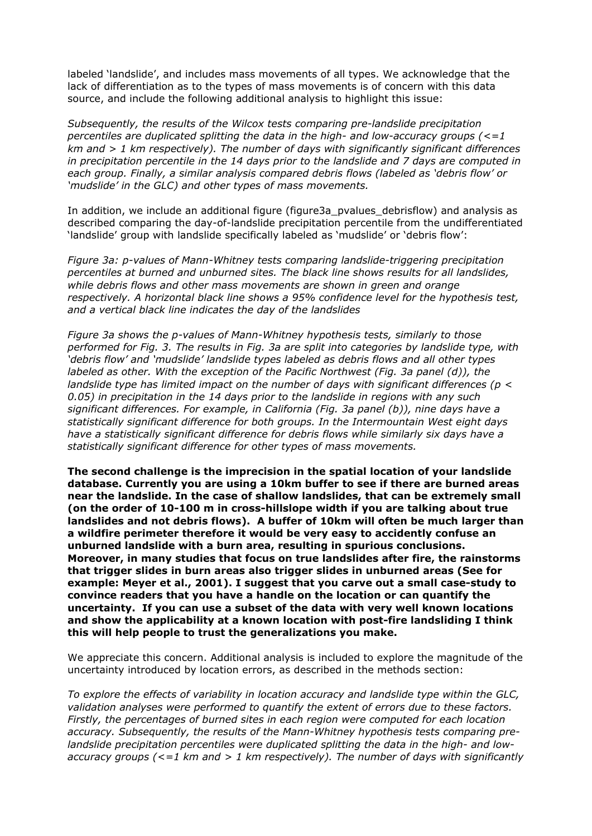labeled 'landslide', and includes mass movements of all types. We acknowledge that the lack of differentiation as to the types of mass movements is of concern with this data source, and include the following additional analysis to highlight this issue:

*Subsequently, the results of the Wilcox tests comparing pre-landslide precipitation percentiles are duplicated splitting the data in the high- and low-accuracy groups (<=1 km and > 1 km respectively). The number of days with significantly significant differences in precipitation percentile in the 14 days prior to the landslide and 7 days are computed in each group. Finally, a similar analysis compared debris flows (labeled as 'debris flow' or 'mudslide' in the GLC) and other types of mass movements.*

In addition, we include an additional figure (figure3a pvalues debrisflow) and analysis as described comparing the day-of-landslide precipitation percentile from the undifferentiated 'landslide' group with landslide specifically labeled as 'mudslide' or 'debris flow':

*Figure 3a: p-values of Mann-Whitney tests comparing landslide-triggering precipitation percentiles at burned and unburned sites. The black line shows results for all landslides, while debris flows and other mass movements are shown in green and orange respectively. A horizontal black line shows a 95% confidence level for the hypothesis test, and a vertical black line indicates the day of the landslides*

*Figure 3a shows the p-values of Mann-Whitney hypothesis tests, similarly to those performed for Fig. 3. The results in Fig. 3a are split into categories by landslide type, with 'debris flow' and 'mudslide' landslide types labeled as debris flows and all other types labeled as other. With the exception of the Pacific Northwest (Fig. 3a panel (d)), the landslide type has limited impact on the number of days with significant differences (p < 0.05) in precipitation in the 14 days prior to the landslide in regions with any such significant differences. For example, in California (Fig. 3a panel (b)), nine days have a statistically significant difference for both groups. In the Intermountain West eight days have a statistically significant difference for debris flows while similarly six days have a statistically significant difference for other types of mass movements.*

**The second challenge is the imprecision in the spatial location of your landslide database. Currently you are using a 10km buffer to see if there are burned areas near the landslide. In the case of shallow landslides, that can be extremely small (on the order of 10-100 m in cross-hillslope width if you are talking about true landslides and not debris flows). A buffer of 10km will often be much larger than a wildfire perimeter therefore it would be very easy to accidently confuse an unburned landslide with a burn area, resulting in spurious conclusions. Moreover, in many studies that focus on true landslides after fire, the rainstorms that trigger slides in burn areas also trigger slides in unburned areas (See for example: Meyer et al., 2001). I suggest that you carve out a small case-study to convince readers that you have a handle on the location or can quantify the uncertainty. If you can use a subset of the data with very well known locations and show the applicability at a known location with post-fire landsliding I think this will help people to trust the generalizations you make.** 

We appreciate this concern. Additional analysis is included to explore the magnitude of the uncertainty introduced by location errors, as described in the methods section:

*To explore the effects of variability in location accuracy and landslide type within the GLC, validation analyses were performed to quantify the extent of errors due to these factors. Firstly, the percentages of burned sites in each region were computed for each location accuracy. Subsequently, the results of the Mann-Whitney hypothesis tests comparing prelandslide precipitation percentiles were duplicated splitting the data in the high- and lowaccuracy groups (<=1 km and > 1 km respectively). The number of days with significantly*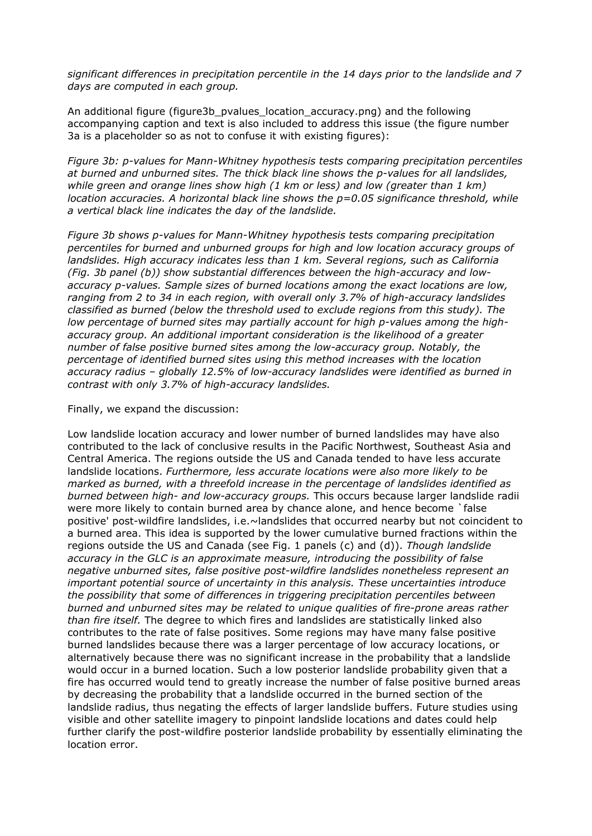*significant differences in precipitation percentile in the 14 days prior to the landslide and 7 days are computed in each group.*

An additional figure (figure3b pvalues location accuracy.png) and the following accompanying caption and text is also included to address this issue (the figure number 3a is a placeholder so as not to confuse it with existing figures):

*Figure 3b: p-values for Mann-Whitney hypothesis tests comparing precipitation percentiles at burned and unburned sites. The thick black line shows the p-values for all landslides, while green and orange lines show high (1 km or less) and low (greater than 1 km) location accuracies. A horizontal black line shows the p=0.05 significance threshold, while a vertical black line indicates the day of the landslide.*

*Figure 3b shows p-values for Mann-Whitney hypothesis tests comparing precipitation percentiles for burned and unburned groups for high and low location accuracy groups of landslides. High accuracy indicates less than 1 km. Several regions, such as California (Fig. 3b panel (b)) show substantial differences between the high-accuracy and lowaccuracy p-values. Sample sizes of burned locations among the exact locations are low, ranging from 2 to 34 in each region, with overall only 3.7% of high-accuracy landslides classified as burned (below the threshold used to exclude regions from this study). The low percentage of burned sites may partially account for high p-values among the highaccuracy group. An additional important consideration is the likelihood of a greater number of false positive burned sites among the low-accuracy group. Notably, the percentage of identified burned sites using this method increases with the location accuracy radius – globally 12.5% of low-accuracy landslides were identified as burned in contrast with only 3.7% of high-accuracy landslides.*

Finally, we expand the discussion:

Low landslide location accuracy and lower number of burned landslides may have also contributed to the lack of conclusive results in the Pacific Northwest, Southeast Asia and Central America. The regions outside the US and Canada tended to have less accurate landslide locations. *Furthermore, less accurate locations were also more likely to be marked as burned, with a threefold increase in the percentage of landslides identified as burned between high- and low-accuracy groups.* This occurs because larger landslide radii were more likely to contain burned area by chance alone, and hence become `false positive' post-wildfire landslides, i.e.~landslides that occurred nearby but not coincident to a burned area. This idea is supported by the lower cumulative burned fractions within the regions outside the US and Canada (see Fig. 1 panels (c) and (d)). *Though landslide accuracy in the GLC is an approximate measure, introducing the possibility of false negative unburned sites, false positive post-wildfire landslides nonetheless represent an important potential source of uncertainty in this analysis. These uncertainties introduce the possibility that some of differences in triggering precipitation percentiles between burned and unburned sites may be related to unique qualities of fire-prone areas rather than fire itself.* The degree to which fires and landslides are statistically linked also contributes to the rate of false positives. Some regions may have many false positive burned landslides because there was a larger percentage of low accuracy locations, or alternatively because there was no significant increase in the probability that a landslide would occur in a burned location. Such a low posterior landslide probability given that a fire has occurred would tend to greatly increase the number of false positive burned areas by decreasing the probability that a landslide occurred in the burned section of the landslide radius, thus negating the effects of larger landslide buffers. Future studies using visible and other satellite imagery to pinpoint landslide locations and dates could help further clarify the post-wildfire posterior landslide probability by essentially eliminating the location error.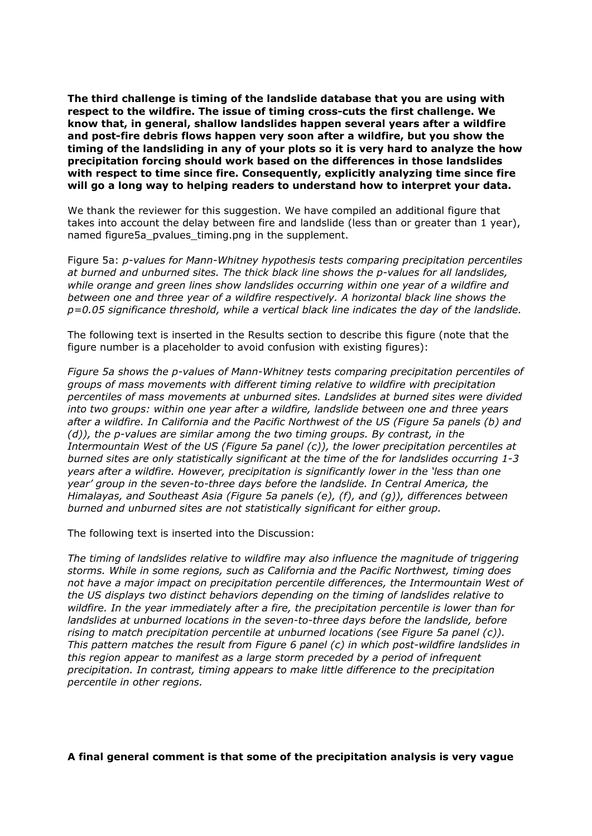**The third challenge is timing of the landslide database that you are using with respect to the wildfire. The issue of timing cross-cuts the first challenge. We know that, in general, shallow landslides happen several years after a wildfire and post-fire debris flows happen very soon after a wildfire, but you show the timing of the landsliding in any of your plots so it is very hard to analyze the how precipitation forcing should work based on the differences in those landslides with respect to time since fire. Consequently, explicitly analyzing time since fire will go a long way to helping readers to understand how to interpret your data.**

We thank the reviewer for this suggestion. We have compiled an additional figure that takes into account the delay between fire and landslide (less than or greater than 1 year), named figure5a pvalues timing.png in the supplement.

Figure 5a: *p-values for Mann-Whitney hypothesis tests comparing precipitation percentiles at burned and unburned sites. The thick black line shows the p-values for all landslides, while orange and green lines show landslides occurring within one year of a wildfire and between one and three year of a wildfire respectively. A horizontal black line shows the p=0.05 significance threshold, while a vertical black line indicates the day of the landslide.*

The following text is inserted in the Results section to describe this figure (note that the figure number is a placeholder to avoid confusion with existing figures):

*Figure 5a shows the p-values of Mann-Whitney tests comparing precipitation percentiles of groups of mass movements with different timing relative to wildfire with precipitation percentiles of mass movements at unburned sites. Landslides at burned sites were divided into two groups: within one year after a wildfire, landslide between one and three years after a wildfire. In California and the Pacific Northwest of the US (Figure 5a panels (b) and (d)), the p-values are similar among the two timing groups. By contrast, in the Intermountain West of the US (Figure 5a panel (c)), the lower precipitation percentiles at burned sites are only statistically significant at the time of the for landslides occurring 1-3 years after a wildfire. However, precipitation is significantly lower in the 'less than one year' group in the seven-to-three days before the landslide. In Central America, the Himalayas, and Southeast Asia (Figure 5a panels (e), (f), and (g)), differences between burned and unburned sites are not statistically significant for either group.*

The following text is inserted into the Discussion:

*The timing of landslides relative to wildfire may also influence the magnitude of triggering storms. While in some regions, such as California and the Pacific Northwest, timing does not have a major impact on precipitation percentile differences, the Intermountain West of the US displays two distinct behaviors depending on the timing of landslides relative to wildfire. In the year immediately after a fire, the precipitation percentile is lower than for landslides at unburned locations in the seven-to-three days before the landslide, before rising to match precipitation percentile at unburned locations (see Figure 5a panel (c)). This pattern matches the result from Figure 6 panel (c) in which post-wildfire landslides in this region appear to manifest as a large storm preceded by a period of infrequent precipitation. In contrast, timing appears to make little difference to the precipitation percentile in other regions.*

**A final general comment is that some of the precipitation analysis is very vague**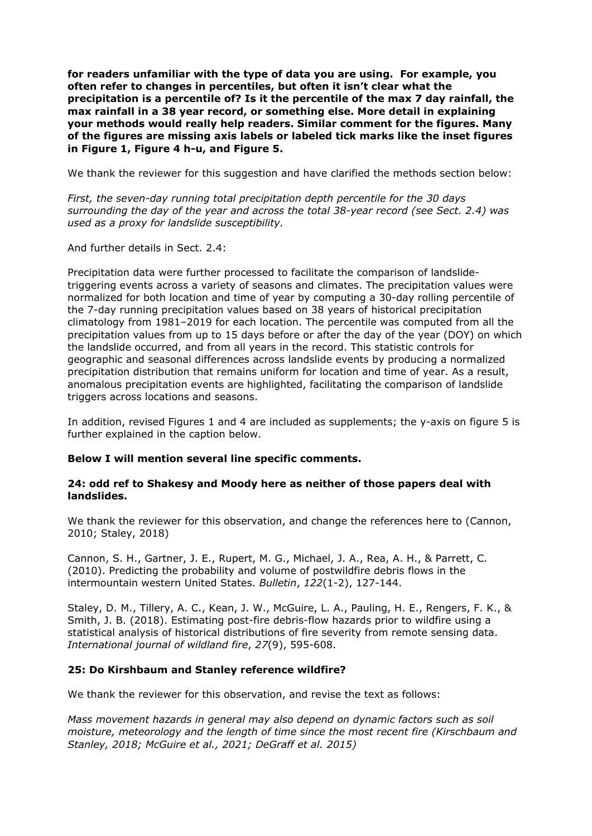**for readers unfamiliar with the type of data you are using. For example, you often refer to changes in percentiles, but often it isn't clear what the precipitation is a percentile of? Is it the percentile of the max 7 day rainfall, the max rainfall in a 38 year record, or something else. More detail in explaining your methods would really help readers. Similar comment for the figures. Many of the figures are missing axis labels or labeled tick marks like the inset figures in Figure 1, Figure 4 h-u, and Figure 5.**

We thank the reviewer for this suggestion and have clarified the methods section below:

*First, the seven-day running total precipitation depth percentile for the 30 days surrounding the day of the year and across the total 38-year record (see Sect. 2.4) was used as a proxy for landslide susceptibility.*

And further details in Sect. 2.4:

Precipitation data were further processed to facilitate the comparison of landslidetriggering events across a variety of seasons and climates. The precipitation values were normalized for both location and time of year by computing a 30-day rolling percentile of the 7-day running precipitation values based on 38 years of historical precipitation climatology from 1981–2019 for each location. The percentile was computed from all the precipitation values from up to 15 days before or after the day of the year (DOY) on which the landslide occurred, and from all years in the record. This statistic controls for geographic and seasonal differences across landslide events by producing a normalized precipitation distribution that remains uniform for location and time of year. As a result, anomalous precipitation events are highlighted, facilitating the comparison of landslide triggers across locations and seasons.

In addition, revised Figures 1 and 4 are included as supplements; the y-axis on figure 5 is further explained in the caption below.

# **Below I will mention several line specific comments.**

## **24: odd ref to Shakesy and Moody here as neither of those papers deal with landslides.**

We thank the reviewer for this observation, and change the references here to (Cannon, 2010; Staley, 2018)

Cannon, S. H., Gartner, J. E., Rupert, M. G., Michael, J. A., Rea, A. H., & Parrett, C. (2010). Predicting the probability and volume of postwildfire debris flows in the intermountain western United States. *Bulletin*, *122*(1-2), 127-144.

Staley, D. M., Tillery, A. C., Kean, J. W., McGuire, L. A., Pauling, H. E., Rengers, F. K., & Smith, J. B. (2018). Estimating post-fire debris-flow hazards prior to wildfire using a statistical analysis of historical distributions of fire severity from remote sensing data. *International journal of wildland fire*, *27*(9), 595-608.

## **25: Do Kirshbaum and Stanley reference wildfire?**

We thank the reviewer for this observation, and revise the text as follows:

*Mass movement hazards in general may also depend on dynamic factors such as soil moisture, meteorology and the length of time since the most recent fire (Kirschbaum and Stanley, 2018; McGuire et al., 2021; DeGraff et al. 2015)*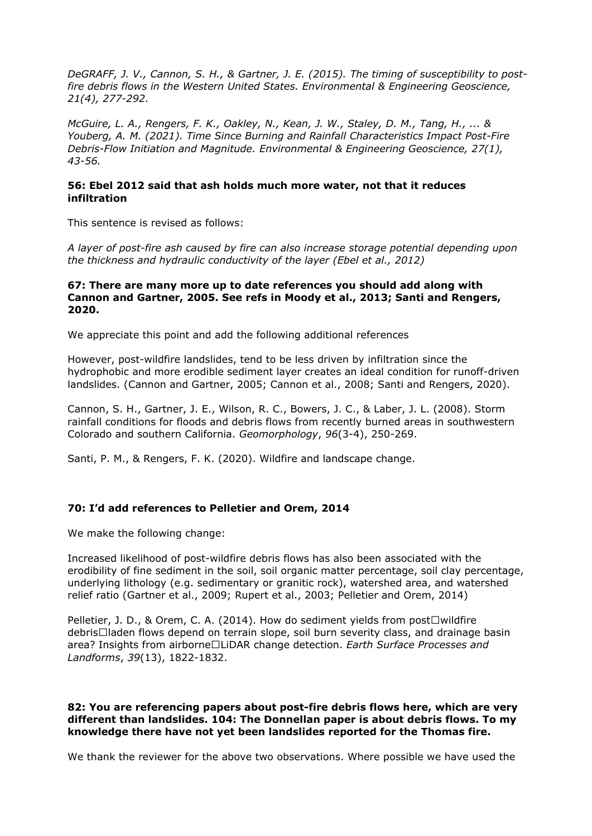*DeGRAFF, J. V., Cannon, S. H., & Gartner, J. E. (2015). The timing of susceptibility to postfire debris flows in the Western United States. Environmental & Engineering Geoscience, 21(4), 277-292.*

*McGuire, L. A., Rengers, F. K., Oakley, N., Kean, J. W., Staley, D. M., Tang, H., ... & Youberg, A. M. (2021). Time Since Burning and Rainfall Characteristics Impact Post-Fire Debris-Flow Initiation and Magnitude. Environmental & Engineering Geoscience, 27(1), 43-56.*

# **56: Ebel 2012 said that ash holds much more water, not that it reduces infiltration**

This sentence is revised as follows:

*A layer of post-fire ash caused by fire can also increase storage potential depending upon the thickness and hydraulic conductivity of the layer (Ebel et al., 2012)*

#### **67: There are many more up to date references you should add along with Cannon and Gartner, 2005. See refs in Moody et al., 2013; Santi and Rengers, 2020.**

We appreciate this point and add the following additional references

However, post-wildfire landslides, tend to be less driven by infiltration since the hydrophobic and more erodible sediment layer creates an ideal condition for runoff-driven landslides. (Cannon and Gartner, 2005; Cannon et al., 2008; Santi and Rengers, 2020).

Cannon, S. H., Gartner, J. E., Wilson, R. C., Bowers, J. C., & Laber, J. L. (2008). Storm rainfall conditions for floods and debris flows from recently burned areas in southwestern Colorado and southern California. *Geomorphology*, *96*(3-4), 250-269.

Santi, P. M., & Rengers, F. K. (2020). Wildfire and landscape change.

## **70: I'd add references to Pelletier and Orem, 2014**

We make the following change:

Increased likelihood of post-wildfire debris flows has also been associated with the erodibility of fine sediment in the soil, soil organic matter percentage, soil clay percentage, underlying lithology (e.g. sedimentary or granitic rock), watershed area, and watershed relief ratio (Gartner et al., 2009; Rupert et al., 2003; Pelletier and Orem, 2014)

Pelletier, J. D., & Orem, C. A. (2014). How do sediment yields from post $\Box$ wildfire debris□laden flows depend on terrain slope, soil burn severity class, and drainage basin area? Insights from airborne□LiDAR change detection. *Earth Surface Processes and Landforms*, *39*(13), 1822-1832.

## **82: You are referencing papers about post-fire debris flows here, which are very different than landslides. 104: The Donnellan paper is about debris flows. To my knowledge there have not yet been landslides reported for the Thomas fire.**

We thank the reviewer for the above two observations. Where possible we have used the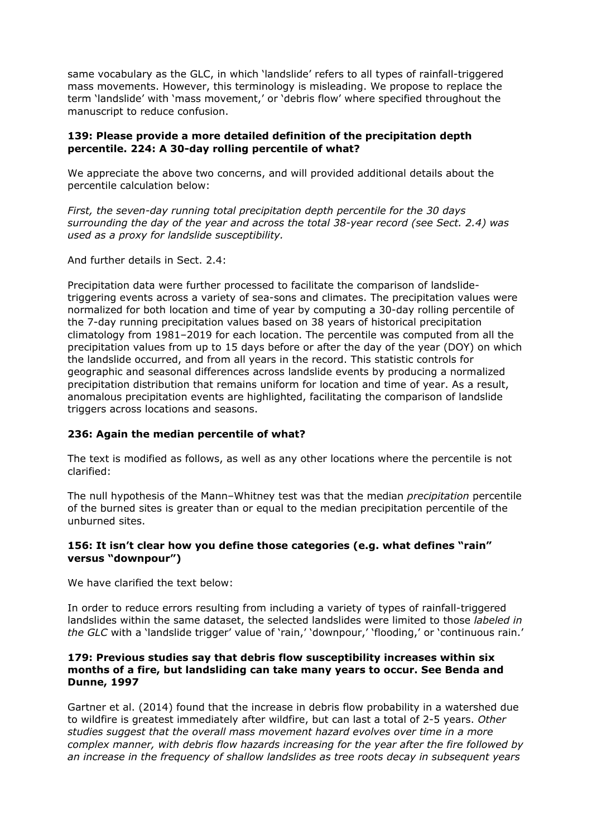same vocabulary as the GLC, in which 'landslide' refers to all types of rainfall-triggered mass movements. However, this terminology is misleading. We propose to replace the term 'landslide' with 'mass movement,' or 'debris flow' where specified throughout the manuscript to reduce confusion.

## **139: Please provide a more detailed definition of the precipitation depth percentile. 224: A 30-day rolling percentile of what?**

We appreciate the above two concerns, and will provided additional details about the percentile calculation below:

*First, the seven-day running total precipitation depth percentile for the 30 days surrounding the day of the year and across the total 38-year record (see Sect. 2.4) was used as a proxy for landslide susceptibility.*

And further details in Sect. 2.4:

Precipitation data were further processed to facilitate the comparison of landslidetriggering events across a variety of sea-sons and climates. The precipitation values were normalized for both location and time of year by computing a 30-day rolling percentile of the 7-day running precipitation values based on 38 years of historical precipitation climatology from 1981–2019 for each location. The percentile was computed from all the precipitation values from up to 15 days before or after the day of the year (DOY) on which the landslide occurred, and from all years in the record. This statistic controls for geographic and seasonal differences across landslide events by producing a normalized precipitation distribution that remains uniform for location and time of year. As a result, anomalous precipitation events are highlighted, facilitating the comparison of landslide triggers across locations and seasons.

# **236: Again the median percentile of what?**

The text is modified as follows, as well as any other locations where the percentile is not clarified:

The null hypothesis of the Mann–Whitney test was that the median *precipitation* percentile of the burned sites is greater than or equal to the median precipitation percentile of the unburned sites.

# **156: It isn't clear how you define those categories (e.g. what defines "rain" versus "downpour")**

We have clarified the text below:

In order to reduce errors resulting from including a variety of types of rainfall-triggered landslides within the same dataset, the selected landslides were limited to those *labeled in the GLC* with a 'landslide trigger' value of 'rain,' 'downpour,' 'flooding,' or 'continuous rain.'

## **179: Previous studies say that debris flow susceptibility increases within six months of a fire, but landsliding can take many years to occur. See Benda and Dunne, 1997**

Gartner et al. (2014) found that the increase in debris flow probability in a watershed due to wildfire is greatest immediately after wildfire, but can last a total of 2-5 years. *Other studies suggest that the overall mass movement hazard evolves over time in a more complex manner, with debris flow hazards increasing for the year after the fire followed by an increase in the frequency of shallow landslides as tree roots decay in subsequent years*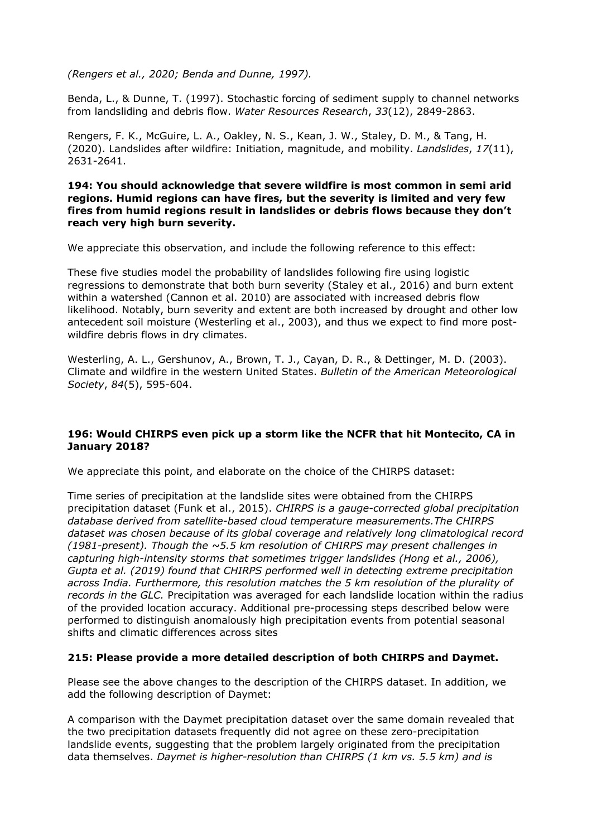*(Rengers et al., 2020; Benda and Dunne, 1997).*

Benda, L., & Dunne, T. (1997). Stochastic forcing of sediment supply to channel networks from landsliding and debris flow. *Water Resources Research*, *33*(12), 2849-2863.

Rengers, F. K., McGuire, L. A., Oakley, N. S., Kean, J. W., Staley, D. M., & Tang, H. (2020). Landslides after wildfire: Initiation, magnitude, and mobility. *Landslides*, *17*(11), 2631-2641.

## **194: You should acknowledge that severe wildfire is most common in semi arid regions. Humid regions can have fires, but the severity is limited and very few fires from humid regions result in landslides or debris flows because they don't reach very high burn severity.**

We appreciate this observation, and include the following reference to this effect:

These five studies model the probability of landslides following fire using logistic regressions to demonstrate that both burn severity (Staley et al., 2016) and burn extent within a watershed (Cannon et al. 2010) are associated with increased debris flow likelihood. Notably, burn severity and extent are both increased by drought and other low antecedent soil moisture (Westerling et al., 2003), and thus we expect to find more postwildfire debris flows in dry climates.

Westerling, A. L., Gershunov, A., Brown, T. J., Cayan, D. R., & Dettinger, M. D. (2003). Climate and wildfire in the western United States. *Bulletin of the American Meteorological Society*, *84*(5), 595-604.

# **196: Would CHIRPS even pick up a storm like the NCFR that hit Montecito, CA in January 2018?**

We appreciate this point, and elaborate on the choice of the CHIRPS dataset:

Time series of precipitation at the landslide sites were obtained from the CHIRPS precipitation dataset (Funk et al., 2015). *CHIRPS is a gauge-corrected global precipitation database derived from satellite-based cloud temperature measurements.The CHIRPS dataset was chosen because of its global coverage and relatively long climatological record (1981-present). Though the ~5.5 km resolution of CHIRPS may present challenges in capturing high-intensity storms that sometimes trigger landslides (Hong et al., 2006), Gupta et al. (2019) found that CHIRPS performed well in detecting extreme precipitation across India. Furthermore, this resolution matches the 5 km resolution of the plurality of records in the GLC.* Precipitation was averaged for each landslide location within the radius of the provided location accuracy. Additional pre-processing steps described below were performed to distinguish anomalously high precipitation events from potential seasonal shifts and climatic differences across sites

# **215: Please provide a more detailed description of both CHIRPS and Daymet.**

Please see the above changes to the description of the CHIRPS dataset. In addition, we add the following description of Daymet:

A comparison with the Daymet precipitation dataset over the same domain revealed that the two precipitation datasets frequently did not agree on these zero-precipitation landslide events, suggesting that the problem largely originated from the precipitation data themselves. *Daymet is higher-resolution than CHIRPS (1 km vs. 5.5 km) and is*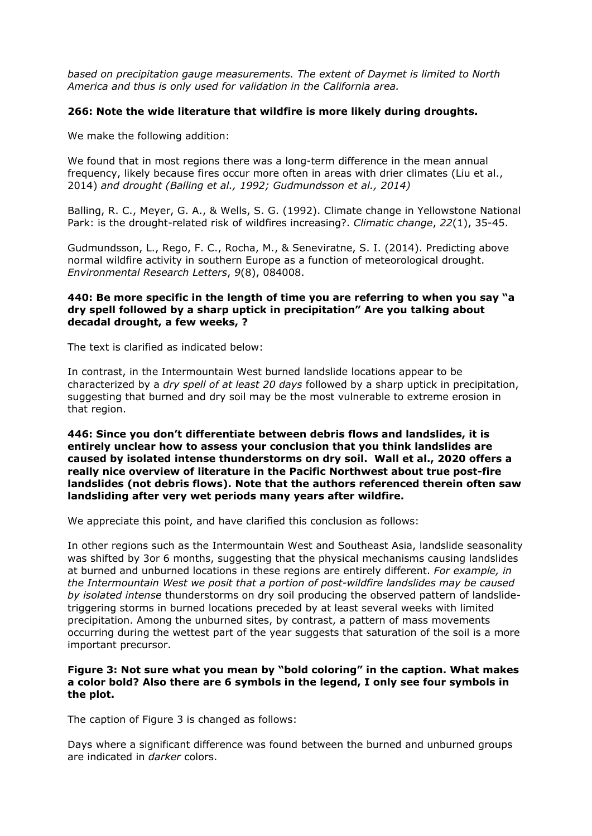*based on precipitation gauge measurements. The extent of Daymet is limited to North America and thus is only used for validation in the California area.*

# **266: Note the wide literature that wildfire is more likely during droughts.**

We make the following addition:

We found that in most regions there was a long-term difference in the mean annual frequency, likely because fires occur more often in areas with drier climates (Liu et al., 2014) *and drought (Balling et al., 1992; Gudmundsson et al., 2014)*

Balling, R. C., Meyer, G. A., & Wells, S. G. (1992). Climate change in Yellowstone National Park: is the drought-related risk of wildfires increasing?. *Climatic change*, *22*(1), 35-45.

Gudmundsson, L., Rego, F. C., Rocha, M., & Seneviratne, S. I. (2014). Predicting above normal wildfire activity in southern Europe as a function of meteorological drought. *Environmental Research Letters*, *9*(8), 084008.

# **440: Be more specific in the length of time you are referring to when you say "a dry spell followed by a sharp uptick in precipitation" Are you talking about decadal drought, a few weeks, ?**

The text is clarified as indicated below:

In contrast, in the Intermountain West burned landslide locations appear to be characterized by a *dry spell of at least 20 days* followed by a sharp uptick in precipitation, suggesting that burned and dry soil may be the most vulnerable to extreme erosion in that region.

**446: Since you don't differentiate between debris flows and landslides, it is entirely unclear how to assess your conclusion that you think landslides are caused by isolated intense thunderstorms on dry soil. Wall et al., 2020 offers a really nice overview of literature in the Pacific Northwest about true post-fire landslides (not debris flows). Note that the authors referenced therein often saw landsliding after very wet periods many years after wildfire.**

We appreciate this point, and have clarified this conclusion as follows:

In other regions such as the Intermountain West and Southeast Asia, landslide seasonality was shifted by 3or 6 months, suggesting that the physical mechanisms causing landslides at burned and unburned locations in these regions are entirely different. *For example, in the Intermountain West we posit that a portion of post-wildfire landslides may be caused by isolated intense* thunderstorms on dry soil producing the observed pattern of landslidetriggering storms in burned locations preceded by at least several weeks with limited precipitation. Among the unburned sites, by contrast, a pattern of mass movements occurring during the wettest part of the year suggests that saturation of the soil is a more important precursor.

## **Figure 3: Not sure what you mean by "bold coloring" in the caption. What makes a color bold? Also there are 6 symbols in the legend, I only see four symbols in the plot.**

The caption of Figure 3 is changed as follows:

Days where a significant difference was found between the burned and unburned groups are indicated in *darker* colors.